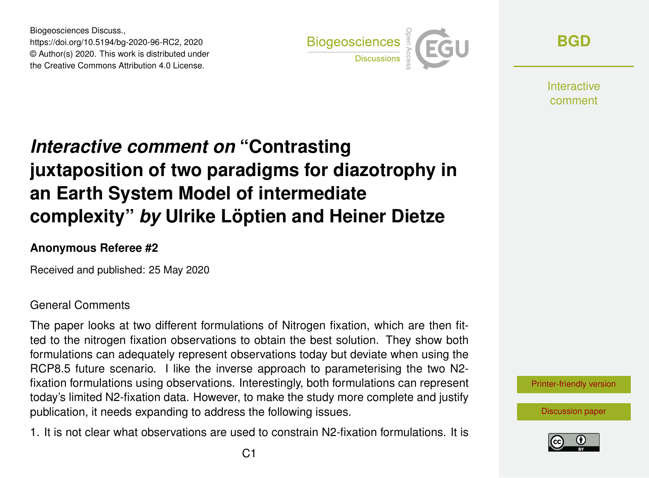Biogeosciences Discuss., https://doi.org/10.5194/bg-2020-96-RC2, 2020 © Author(s) 2020. This work is distributed under the Creative Commons Attribution 4.0 License.



**[BGD](https://www.biogeosciences-discuss.net/)**

**Interactive** comment

## *Interactive comment on* **"Contrasting juxtaposition of two paradigms for diazotrophy in an Earth System Model of intermediate complexity"** *by* **Ulrike Löptien and Heiner Dietze**

## **Anonymous Referee #2**

Received and published: 25 May 2020

## General Comments

The paper looks at two different formulations of Nitrogen fixation, which are then fitted to the nitrogen fixation observations to obtain the best solution. They show both formulations can adequately represent observations today but deviate when using the RCP8.5 future scenario. I like the inverse approach to parameterising the two N2 fixation formulations using observations. Interestingly, both formulations can represent today's limited N2-fixation data. However, to make the study more complete and justify publication, it needs expanding to address the following issues.

1. It is not clear what observations are used to constrain N2-fixation formulations. It is



[Discussion paper](https://www.biogeosciences-discuss.net/bg-2020-96)

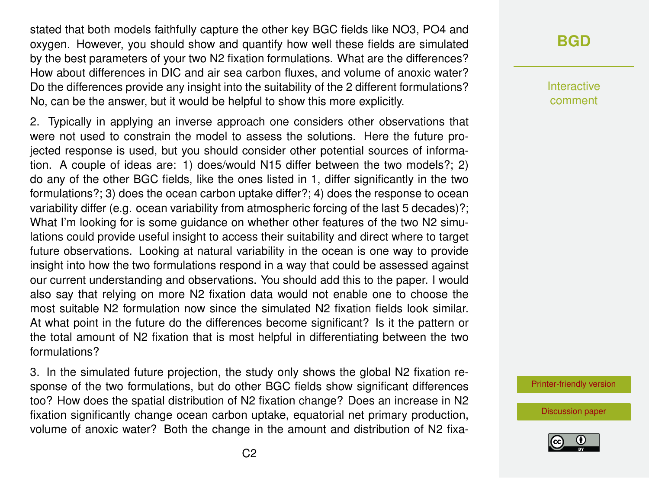stated that both models faithfully capture the other key BGC fields like NO3, PO4 and oxygen. However, you should show and quantify how well these fields are simulated by the best parameters of your two N2 fixation formulations. What are the differences? How about differences in DIC and air sea carbon fluxes, and volume of anoxic water? Do the differences provide any insight into the suitability of the 2 different formulations? No, can be the answer, but it would be helpful to show this more explicitly.

2. Typically in applying an inverse approach one considers other observations that were not used to constrain the model to assess the solutions. Here the future projected response is used, but you should consider other potential sources of information. A couple of ideas are: 1) does/would N15 differ between the two models?; 2) do any of the other BGC fields, like the ones listed in 1, differ significantly in the two formulations?; 3) does the ocean carbon uptake differ?; 4) does the response to ocean variability differ (e.g. ocean variability from atmospheric forcing of the last 5 decades)?; What I'm looking for is some guidance on whether other features of the two N2 simulations could provide useful insight to access their suitability and direct where to target future observations. Looking at natural variability in the ocean is one way to provide insight into how the two formulations respond in a way that could be assessed against our current understanding and observations. You should add this to the paper. I would also say that relying on more N2 fixation data would not enable one to choose the most suitable N2 formulation now since the simulated N2 fixation fields look similar. At what point in the future do the differences become significant? Is it the pattern or the total amount of N2 fixation that is most helpful in differentiating between the two formulations?

3. In the simulated future projection, the study only shows the global N2 fixation response of the two formulations, but do other BGC fields show significant differences too? How does the spatial distribution of N2 fixation change? Does an increase in N2 fixation significantly change ocean carbon uptake, equatorial net primary production, volume of anoxic water? Both the change in the amount and distribution of N2 fixa-

## **[BGD](https://www.biogeosciences-discuss.net/)**

Interactive comment

[Printer-friendly version](https://www.biogeosciences-discuss.net/bg-2020-96/bg-2020-96-RC2-print.pdf)

[Discussion paper](https://www.biogeosciences-discuss.net/bg-2020-96)